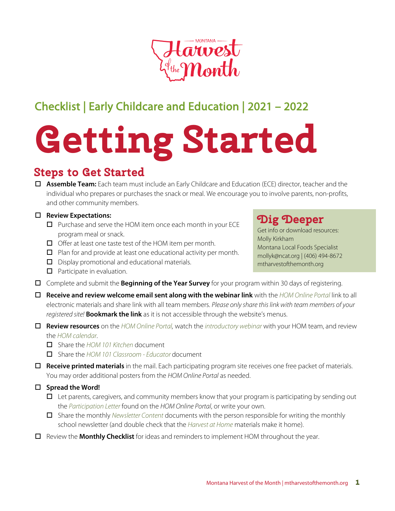

## Checklist | Early Childcare and Education | 2021 – 2022

# **Getting Started**

### **Steps to Get Started**

 **Assemble Team:** Each team must include an Early Childcare and Education (ECE) director, teacher and the individual who prepares or purchases the snack or meal. We encourage you to involve parents, non-profits, and other community members.

#### **Review Expectations:**

- $\Box$  Purchase and serve the HOM item once each month in your ECE program meal or snack.
- $\Box$  Offer at least one taste test of the HOM item per month.
- $\Box$  Plan for and provide at least one educational activity per month.
- D Display promotional and educational materials.
- $\Box$  Participate in evaluation.
- Complete and submit the **Beginning of the Year Survey** for your program within 30 days of registering.
- **Receive and review welcome email sent along with the webinar link** with the *[HOM Online Portal](https://www.montana.edu/mtharvestofthemonth/portal.html)* link to all electronic materials and share link with all team members. *Please only share this link with team members of your registered site!* **Bookmark the link** as it is not accessible through the website's menus.
- **Review resources** on the *[HOM Online P](https://www.montana.edu/mtharvestofthemonth/portal.html)*o*rtal,* watch the *[introductory webinar](https://youtu.be/xktbBTt-QSQ)* with your HOM team, and review the *[HOM calendar](https://www.montana.edu/mtharvestofthemonth/documents/2021/HOM21_Calendar.pdf)*.
	- Share the *[HOM 101 Kitchen](https://www.montana.edu/mtharvestofthemonth/documents/2021/HOM21_K12_ECE_101_Cafeteria.pdf)* document
	- Share the *[HOM 101 Classroom Educator](https://www.montana.edu/mtharvestofthemonth/documents/2021/HOM21_K12_ECE_101_Classroom.pdf)* document
- **Receive printed materials** in the mail. Each participating program site receives one free packet of materials. You may order additional posters from the *HOM Online Portal* as needed.
- **Spread the Word!**
	- $\Box$  Let parents, caregivers, and community members know that your program is participating by sending out the *[Participation Letter](https://www.montana.edu/mtharvestofthemonth/documents/2021/HOM21_ParticipatingLetter_ECE.docx)* found on the *HOM Online Portal*, or write your own.
	- Share the monthly *[Newsletter Content](https://www.montana.edu/mtharvestofthemonth/documents/2021/HOM21_Newsletters/HOM21_Cherries_Newsletter.docx)* documents with the person responsible for writing the monthly school newsletter (and double check that the *[Harvest at Home](https://www.montana.edu/mtharvestofthemonth/documents/2019/ECE/HOM19_ECE_Cherries_Home.pdf)* materials make it home).
- Review the **Monthly Checklist** for ideas and reminders to implement HOM throughout the year.

## **Dig Deeper**

Get info or download resources: Molly Kirkham Montana Local Foods Specialist mollyk@ncat.org | (406) 494-8672 [mtharvestofthemonth.org](http://www.montana.edu/mtharvestofthemonth)